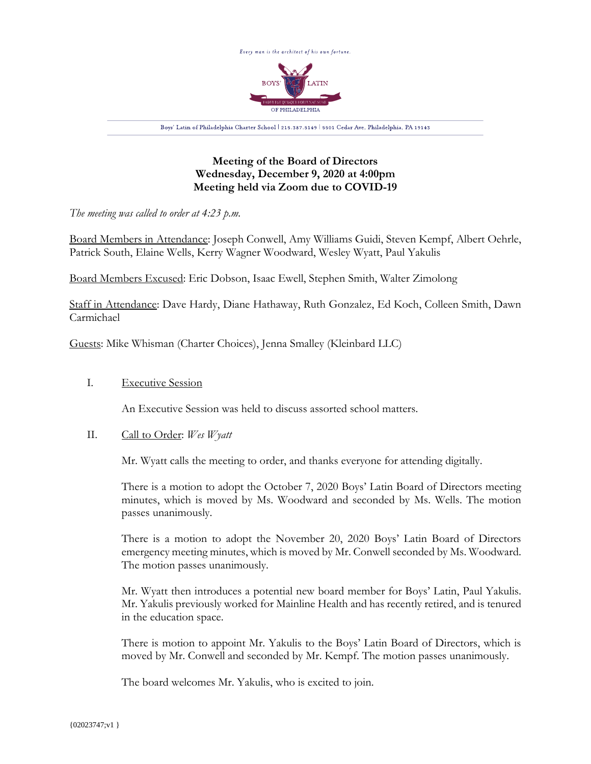

# **Meeting of the Board of Directors Wednesday, December 9, 2020 at 4:00pm Meeting held via Zoom due to COVID-19**

*The meeting was called to order at 4:23 p.m.*

Board Members in Attendance: Joseph Conwell, Amy Williams Guidi, Steven Kempf, Albert Oehrle, Patrick South, Elaine Wells, Kerry Wagner Woodward, Wesley Wyatt, Paul Yakulis

Board Members Excused: Eric Dobson, Isaac Ewell, Stephen Smith, Walter Zimolong

Staff in Attendance: Dave Hardy, Diane Hathaway, Ruth Gonzalez, Ed Koch, Colleen Smith, Dawn Carmichael

Guests: Mike Whisman (Charter Choices), Jenna Smalley (Kleinbard LLC)

## I. Executive Session

An Executive Session was held to discuss assorted school matters.

## II. Call to Order: *Wes Wyatt*

Mr. Wyatt calls the meeting to order, and thanks everyone for attending digitally.

There is a motion to adopt the October 7, 2020 Boys' Latin Board of Directors meeting minutes, which is moved by Ms. Woodward and seconded by Ms. Wells. The motion passes unanimously.

There is a motion to adopt the November 20, 2020 Boys' Latin Board of Directors emergency meeting minutes, which is moved by Mr. Conwell seconded by Ms. Woodward. The motion passes unanimously.

Mr. Wyatt then introduces a potential new board member for Boys' Latin, Paul Yakulis. Mr. Yakulis previously worked for Mainline Health and has recently retired, and is tenured in the education space.

There is motion to appoint Mr. Yakulis to the Boys' Latin Board of Directors, which is moved by Mr. Conwell and seconded by Mr. Kempf. The motion passes unanimously.

The board welcomes Mr. Yakulis, who is excited to join.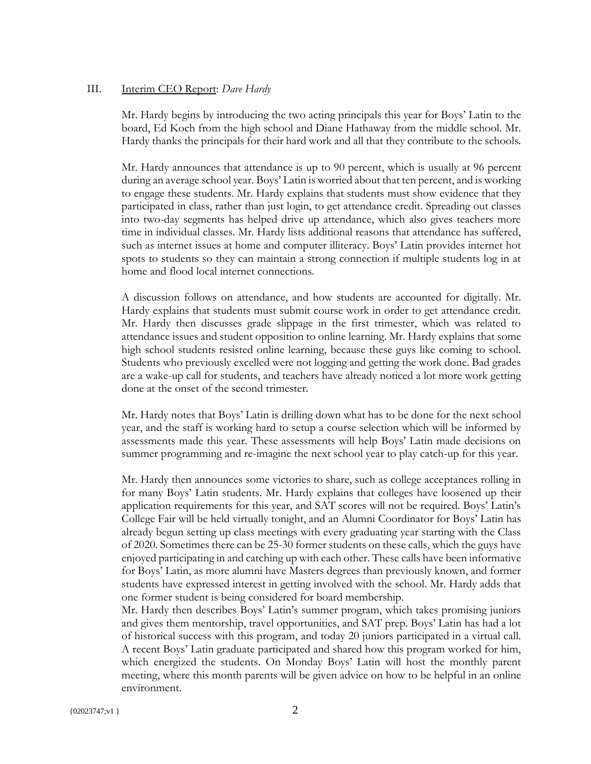#### III. Interim CEO Report: *Dave Hardy*

Mr. Hardy begins by introducing the two acting principals this year for Boys' Latin to the board, Ed Koch from the high school and Diane Hathaway from the middle school. Mr. Hardy thanks the principals for their hard work and all that they contribute to the schools.

Mr. Hardy announces that attendance is up to 90 percent, which is usually at 96 percent during an average school year. Boys' Latin is worried about that ten percent, and is working to engage these students. Mr. Hardy explains that students must show evidence that they participated in class, rather than just login, to get attendance credit. Spreading out classes into two-day segments has helped drive up attendance, which also gives teachers more time in individual classes. Mr. Hardy lists additional reasons that attendance has suffered, such as internet issues at home and computer illiteracy. Boys' Latin provides internet hot spots to students so they can maintain a strong connection if multiple students log in at home and flood local internet connections.

A discussion follows on attendance, and how students are accounted for digitally. Mr. Hardy explains that students must submit course work in order to get attendance credit. Mr. Hardy then discusses grade slippage in the first trimester, which was related to attendance issues and student opposition to online learning. Mr. Hardy explains that some high school students resisted online learning, because these guys like coming to school. Students who previously excelled were not logging and getting the work done. Bad grades are a wake-up call for students, and teachers have already noticed a lot more work getting done at the onset of the second trimester.

Mr. Hardy notes that Boys' Latin is drilling down what has to be done for the next school year, and the staff is working hard to setup a course selection which will be informed by assessments made this year. These assessments will help Boys' Latin made decisions on summer programming and re-imagine the next school year to play catch-up for this year.

Mr. Hardy then announces some victories to share, such as college acceptances rolling in for many Boys' Latin students. Mr. Hardy explains that colleges have loosened up their application requirements for this year, and SAT scores will not be required. Boys' Latin's College Fair will be held virtually tonight, and an Alumni Coordinator for Boys' Latin has already begun setting up class meetings with every graduating year starting with the Class of 2020. Sometimes there can be 25-30 former students on these calls, which the guys have enjoyed participating in and catching up with each other. These calls have been informative for Boys' Latin, as more alumni have Masters degrees than previously known, and former students have expressed interest in getting involved with the school. Mr. Hardy adds that one former student is being considered for board membership.

Mr. Hardy then describes Boys' Latin's summer program, which takes promising juniors and gives them mentorship, travel opportunities, and SAT prep. Boys' Latin has had a lot of historical success with this program, and today 20 juniors participated in a virtual call. A recent Boys' Latin graduate participated and shared how this program worked for him, which energized the students. On Monday Boys' Latin will host the monthly parent meeting, where this month parents will be given advice on how to be helpful in an online environment.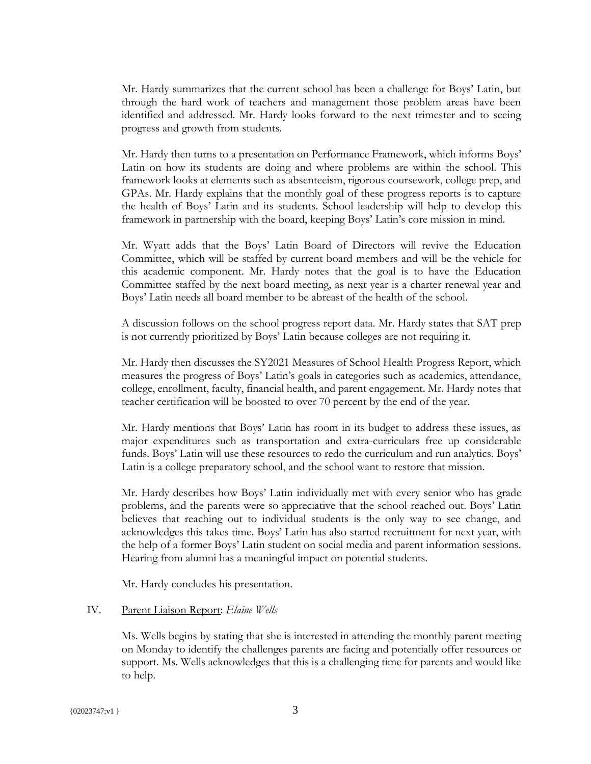Mr. Hardy summarizes that the current school has been a challenge for Boys' Latin, but through the hard work of teachers and management those problem areas have been identified and addressed. Mr. Hardy looks forward to the next trimester and to seeing progress and growth from students.

Mr. Hardy then turns to a presentation on Performance Framework, which informs Boys' Latin on how its students are doing and where problems are within the school. This framework looks at elements such as absenteeism, rigorous coursework, college prep, and GPAs. Mr. Hardy explains that the monthly goal of these progress reports is to capture the health of Boys' Latin and its students. School leadership will help to develop this framework in partnership with the board, keeping Boys' Latin's core mission in mind.

Mr. Wyatt adds that the Boys' Latin Board of Directors will revive the Education Committee, which will be staffed by current board members and will be the vehicle for this academic component. Mr. Hardy notes that the goal is to have the Education Committee staffed by the next board meeting, as next year is a charter renewal year and Boys' Latin needs all board member to be abreast of the health of the school.

A discussion follows on the school progress report data. Mr. Hardy states that SAT prep is not currently prioritized by Boys' Latin because colleges are not requiring it.

Mr. Hardy then discusses the SY2021 Measures of School Health Progress Report, which measures the progress of Boys' Latin's goals in categories such as academics, attendance, college, enrollment, faculty, financial health, and parent engagement. Mr. Hardy notes that teacher certification will be boosted to over 70 percent by the end of the year.

Mr. Hardy mentions that Boys' Latin has room in its budget to address these issues, as major expenditures such as transportation and extra-curriculars free up considerable funds. Boys' Latin will use these resources to redo the curriculum and run analytics. Boys' Latin is a college preparatory school, and the school want to restore that mission.

Mr. Hardy describes how Boys' Latin individually met with every senior who has grade problems, and the parents were so appreciative that the school reached out. Boys' Latin believes that reaching out to individual students is the only way to see change, and acknowledges this takes time. Boys' Latin has also started recruitment for next year, with the help of a former Boys' Latin student on social media and parent information sessions. Hearing from alumni has a meaningful impact on potential students.

Mr. Hardy concludes his presentation.

### IV. Parent Liaison Report: *Elaine Wells*

Ms. Wells begins by stating that she is interested in attending the monthly parent meeting on Monday to identify the challenges parents are facing and potentially offer resources or support. Ms. Wells acknowledges that this is a challenging time for parents and would like to help.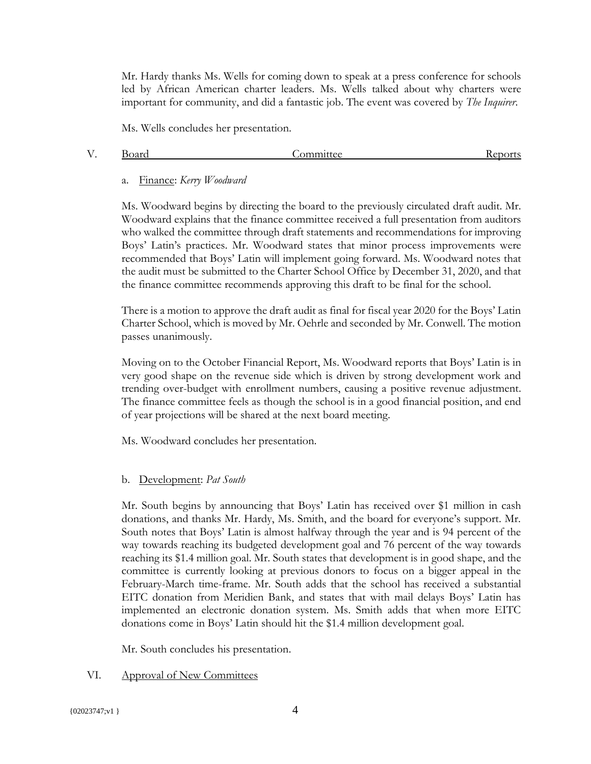Mr. Hardy thanks Ms. Wells for coming down to speak at a press conference for schools led by African American charter leaders. Ms. Wells talked about why charters were important for community, and did a fantastic job. The event was covered by *The Inquirer*.

Ms. Wells concludes her presentation.

| Board |
|-------|

Committee Reports

### a. Finance: *Kerry Woodward*

Ms. Woodward begins by directing the board to the previously circulated draft audit. Mr. Woodward explains that the finance committee received a full presentation from auditors who walked the committee through draft statements and recommendations for improving Boys' Latin's practices. Mr. Woodward states that minor process improvements were recommended that Boys' Latin will implement going forward. Ms. Woodward notes that the audit must be submitted to the Charter School Office by December 31, 2020, and that the finance committee recommends approving this draft to be final for the school.

There is a motion to approve the draft audit as final for fiscal year 2020 for the Boys' Latin Charter School, which is moved by Mr. Oehrle and seconded by Mr. Conwell. The motion passes unanimously.

Moving on to the October Financial Report, Ms. Woodward reports that Boys' Latin is in very good shape on the revenue side which is driven by strong development work and trending over-budget with enrollment numbers, causing a positive revenue adjustment. The finance committee feels as though the school is in a good financial position, and end of year projections will be shared at the next board meeting.

Ms. Woodward concludes her presentation.

## b. Development: *Pat South*

Mr. South begins by announcing that Boys' Latin has received over \$1 million in cash donations, and thanks Mr. Hardy, Ms. Smith, and the board for everyone's support. Mr. South notes that Boys' Latin is almost halfway through the year and is 94 percent of the way towards reaching its budgeted development goal and 76 percent of the way towards reaching its \$1.4 million goal. Mr. South states that development is in good shape, and the committee is currently looking at previous donors to focus on a bigger appeal in the February-March time-frame. Mr. South adds that the school has received a substantial EITC donation from Meridien Bank, and states that with mail delays Boys' Latin has implemented an electronic donation system. Ms. Smith adds that when more EITC donations come in Boys' Latin should hit the \$1.4 million development goal.

Mr. South concludes his presentation.

## VI. Approval of New Committees